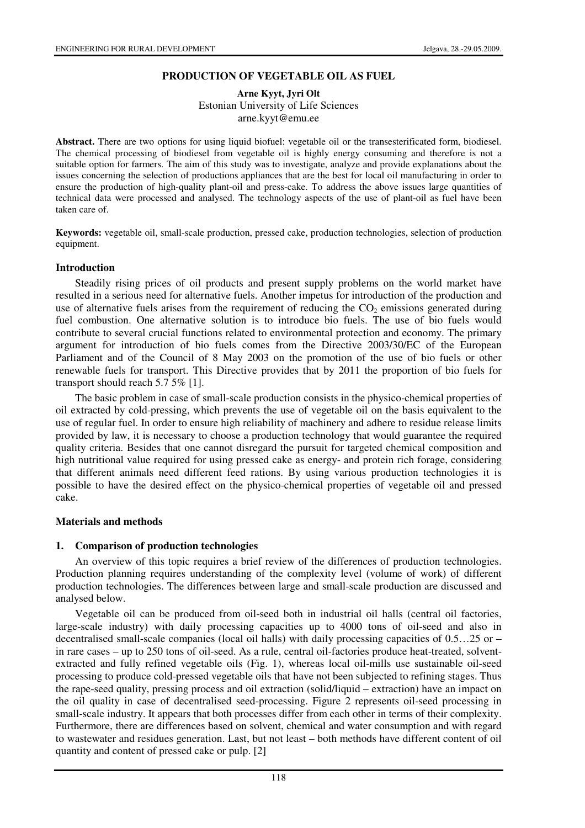# **PRODUCTION OF VEGETABLE OIL AS FUEL**

#### **Arne Kyyt, Jyri Olt**  Estonian University of Life Sciences arne.kyyt@emu.ee

**Abstract.** There are two options for using liquid biofuel: vegetable oil or the transesterificated form, biodiesel. The chemical processing of biodiesel from vegetable oil is highly energy consuming and therefore is not a suitable option for farmers. The aim of this study was to investigate, analyze and provide explanations about the issues concerning the selection of productions appliances that are the best for local oil manufacturing in order to ensure the production of high-quality plant-oil and press-cake. To address the above issues large quantities of technical data were processed and analysed. The technology aspects of the use of plant-oil as fuel have been taken care of.

**Keywords:** vegetable oil, small-scale production, pressed cake, production technologies, selection of production equipment.

#### **Introduction**

Steadily rising prices of oil products and present supply problems on the world market have resulted in a serious need for alternative fuels. Another impetus for introduction of the production and use of alternative fuels arises from the requirement of reducing the  $CO<sub>2</sub>$  emissions generated during fuel combustion. One alternative solution is to introduce bio fuels. The use of bio fuels would contribute to several crucial functions related to environmental protection and economy. The primary argument for introduction of bio fuels comes from the Directive 2003/30/EC of the European Parliament and of the Council of 8 May 2003 on the promotion of the use of bio fuels or other renewable fuels for transport. This Directive provides that by 2011 the proportion of bio fuels for transport should reach 5.7 5% [1].

The basic problem in case of small-scale production consists in the physico-chemical properties of oil extracted by cold-pressing, which prevents the use of vegetable oil on the basis equivalent to the use of regular fuel. In order to ensure high reliability of machinery and adhere to residue release limits provided by law, it is necessary to choose a production technology that would guarantee the required quality criteria. Besides that one cannot disregard the pursuit for targeted chemical composition and high nutritional value required for using pressed cake as energy- and protein rich forage, considering that different animals need different feed rations. By using various production technologies it is possible to have the desired effect on the physico-chemical properties of vegetable oil and pressed cake.

## **Materials and methods**

#### **1. Comparison of production technologies**

An overview of this topic requires a brief review of the differences of production technologies. Production planning requires understanding of the complexity level (volume of work) of different production technologies. The differences between large and small-scale production are discussed and analysed below.

Vegetable oil can be produced from oil-seed both in industrial oil halls (central oil factories, large-scale industry) with daily processing capacities up to 4000 tons of oil-seed and also in decentralised small-scale companies (local oil halls) with daily processing capacities of 0.5…25 or – in rare cases – up to 250 tons of oil-seed. As a rule, central oil-factories produce heat-treated, solventextracted and fully refined vegetable oils (Fig. 1), whereas local oil-mills use sustainable oil-seed processing to produce cold-pressed vegetable oils that have not been subjected to refining stages. Thus the rape-seed quality, pressing process and oil extraction (solid/liquid – extraction) have an impact on the oil quality in case of decentralised seed-processing. Figure 2 represents oil-seed processing in small-scale industry. It appears that both processes differ from each other in terms of their complexity. Furthermore, there are differences based on solvent, chemical and water consumption and with regard to wastewater and residues generation. Last, but not least – both methods have different content of oil quantity and content of pressed cake or pulp. [2]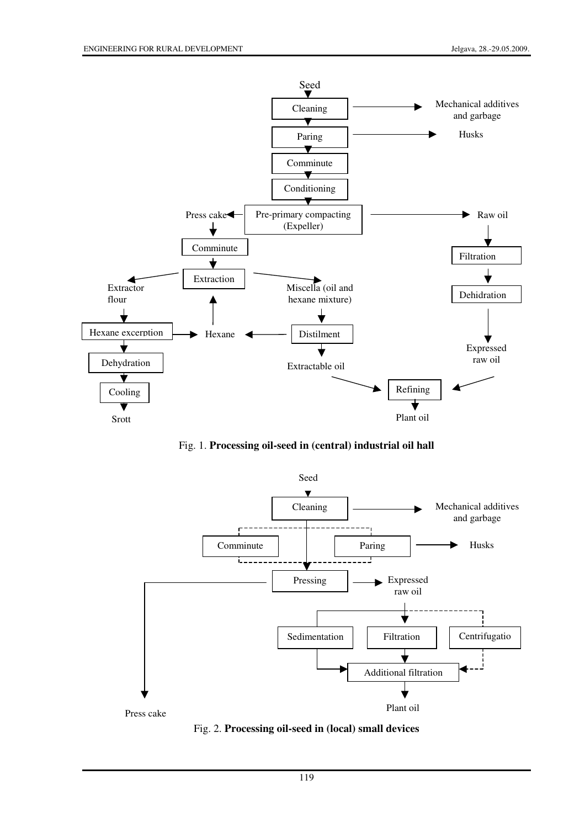

Fig. 1. **Processing oil-seed in (central) industrial oil hall**



Fig. 2. **Processing oil-seed in (local) small devices**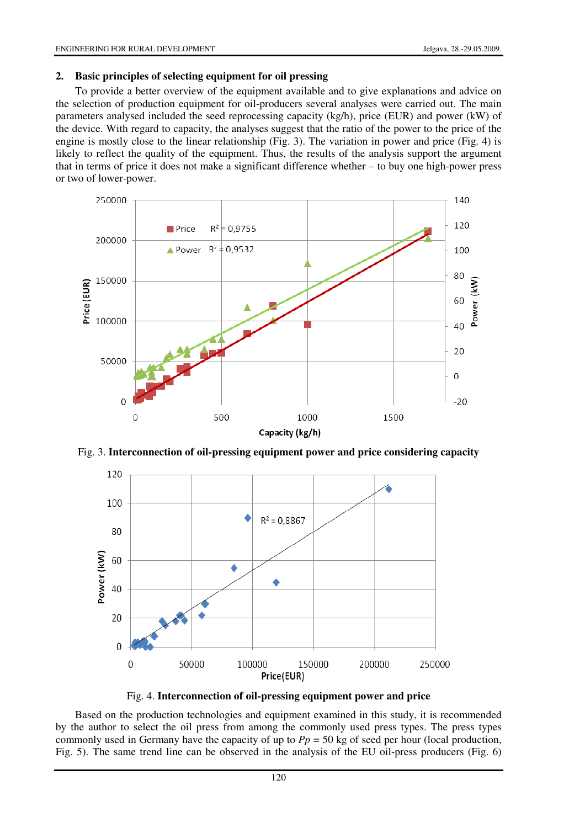#### **2. Basic principles of selecting equipment for oil pressing**

To provide a better overview of the equipment available and to give explanations and advice on the selection of production equipment for oil-producers several analyses were carried out. The main parameters analysed included the seed reprocessing capacity (kg/h), price (EUR) and power (kW) of the device. With regard to capacity, the analyses suggest that the ratio of the power to the price of the engine is mostly close to the linear relationship (Fig. 3). The variation in power and price (Fig. 4) is likely to reflect the quality of the equipment. Thus, the results of the analysis support the argument that in terms of price it does not make a significant difference whether – to buy one high-power press or two of lower-power.



Fig. 3. **Interconnection of oil-pressing equipment power and price considering capacity** 



Fig. 4. **Interconnection of oil-pressing equipment power and price** 

Based on the production technologies and equipment examined in this study, it is recommended by the author to select the oil press from among the commonly used press types. The press types commonly used in Germany have the capacity of up to  $Pp = 50$  kg of seed per hour (local production, Fig. 5). The same trend line can be observed in the analysis of the EU oil-press producers (Fig. 6)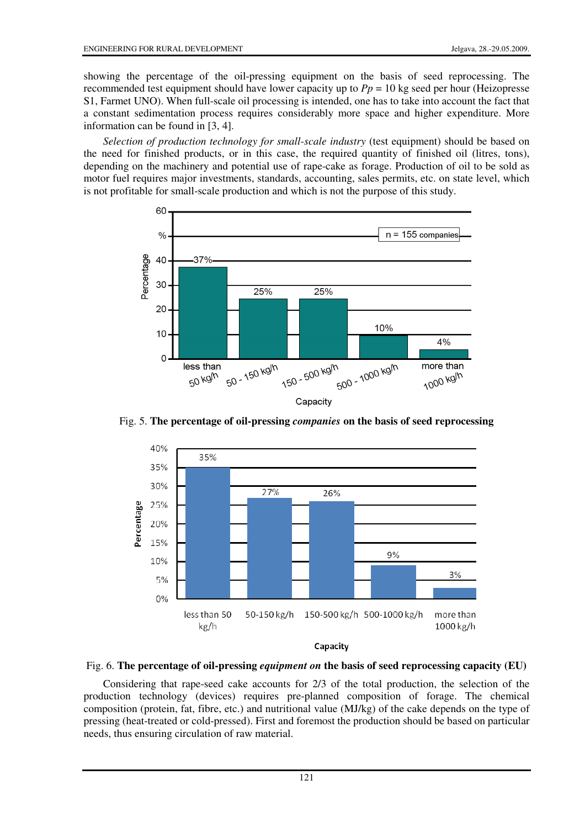showing the percentage of the oil-pressing equipment on the basis of seed reprocessing. The recommended test equipment should have lower capacity up to  $Pp = 10$  kg seed per hour (Heizopresse S1, Farmet UNO). When full-scale oil processing is intended, one has to take into account the fact that a constant sedimentation process requires considerably more space and higher expenditure. More information can be found in [3, 4].

*Selection of production technology for small-scale industry* (test equipment) should be based on the need for finished products, or in this case, the required quantity of finished oil (litres, tons), depending on the machinery and potential use of rape-cake as forage. Production of oil to be sold as motor fuel requires major investments, standards, accounting, sales permits, etc. on state level, which is not profitable for small-scale production and which is not the purpose of this study.



Fig. 5. **The percentage of oil-pressing** *companies* **on the basis of seed reprocessing** 



Fig. 6. **The percentage of oil-pressing** *equipment on* **the basis of seed reprocessing capacity (EU)** 

Considering that rape-seed cake accounts for 2/3 of the total production, the selection of the production technology (devices) requires pre-planned composition of forage. The chemical composition (protein, fat, fibre, etc.) and nutritional value (MJ/kg) of the cake depends on the type of pressing (heat-treated or cold-pressed). First and foremost the production should be based on particular needs, thus ensuring circulation of raw material.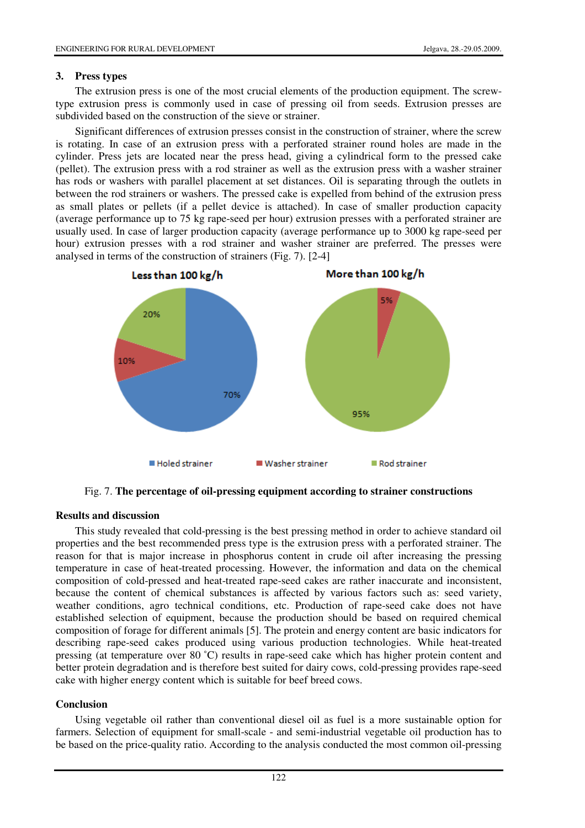## **3. Press types**

The extrusion press is one of the most crucial elements of the production equipment. The screwtype extrusion press is commonly used in case of pressing oil from seeds. Extrusion presses are subdivided based on the construction of the sieve or strainer.

Significant differences of extrusion presses consist in the construction of strainer, where the screw is rotating. In case of an extrusion press with a perforated strainer round holes are made in the cylinder. Press jets are located near the press head, giving a cylindrical form to the pressed cake (pellet). The extrusion press with a rod strainer as well as the extrusion press with a washer strainer has rods or washers with parallel placement at set distances. Oil is separating through the outlets in between the rod strainers or washers. The pressed cake is expelled from behind of the extrusion press as small plates or pellets (if a pellet device is attached). In case of smaller production capacity (average performance up to 75 kg rape-seed per hour) extrusion presses with a perforated strainer are usually used. In case of larger production capacity (average performance up to 3000 kg rape-seed per hour) extrusion presses with a rod strainer and washer strainer are preferred. The presses were analysed in terms of the construction of strainers (Fig. 7). [2-4]



Fig. 7. **The percentage of oil-pressing equipment according to strainer constructions** 

# **Results and discussion**

This study revealed that cold-pressing is the best pressing method in order to achieve standard oil properties and the best recommended press type is the extrusion press with a perforated strainer. The reason for that is major increase in phosphorus content in crude oil after increasing the pressing temperature in case of heat-treated processing. However, the information and data on the chemical composition of cold-pressed and heat-treated rape-seed cakes are rather inaccurate and inconsistent, because the content of chemical substances is affected by various factors such as: seed variety, weather conditions, agro technical conditions, etc. Production of rape-seed cake does not have established selection of equipment, because the production should be based on required chemical composition of forage for different animals [5]. The protein and energy content are basic indicators for describing rape-seed cakes produced using various production technologies. While heat-treated pressing (at temperature over 80 ˚C) results in rape-seed cake which has higher protein content and better protein degradation and is therefore best suited for dairy cows, cold-pressing provides rape-seed cake with higher energy content which is suitable for beef breed cows.

# **Conclusion**

Using vegetable oil rather than conventional diesel oil as fuel is a more sustainable option for farmers. Selection of equipment for small-scale - and semi-industrial vegetable oil production has to be based on the price-quality ratio. According to the analysis conducted the most common oil-pressing